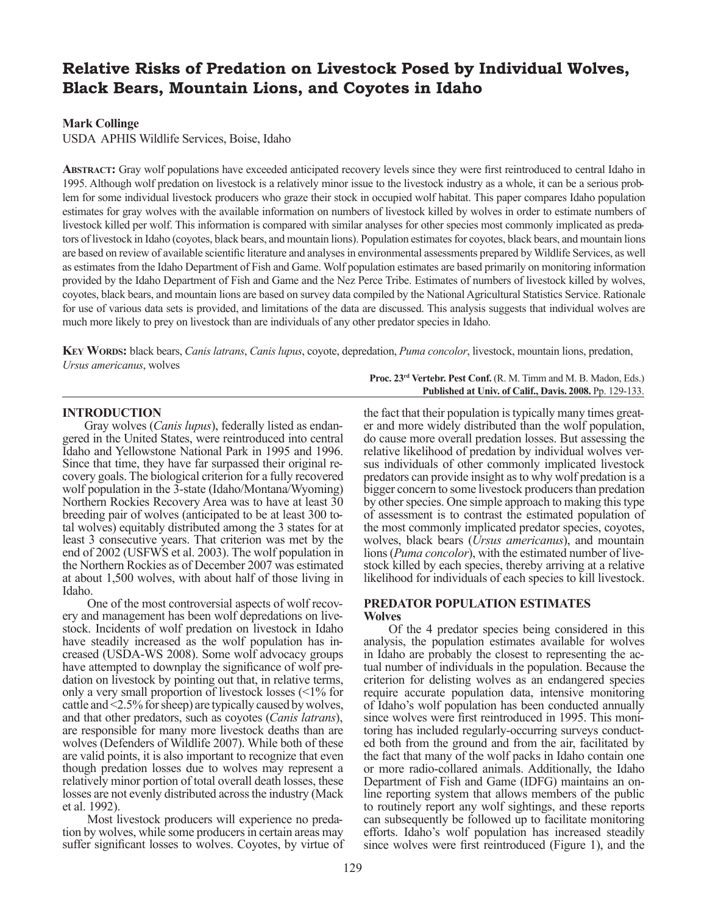# **Relative Risks of Predation on Livestock Posed by Individual Wolves, Black Bears, Mountain Lions, and Coyotes in Idaho**

# **Mark Collinge**

USDA APHIS Wildlife Services, Boise, Idaho

**ABSTRACT:** Gray wolf populations have exceeded anticipated recovery levels since they were first reintroduced to central Idaho in 1995. Although wolf predation on livestock is a relatively minor issue to the livestock industry as a whole, it can be a serious problem for some individual livestock producers who graze their stock in occupied wolf habitat. This paper compares Idaho population estimates for gray wolves with the available information on numbers of livestock killed by wolves in order to estimate numbers of livestock killed per wolf. This information is compared with similar analyses for other species most commonly implicated as predators of livestock in Idaho (coyotes, black bears, and mountain lions). Population estimates for coyotes, black bears, and mountain lions are based on review of available scientific literature and analyses in environmental assessments prepared by Wildlife Services, as well as estimates from the Idaho Department of Fish and Game. Wolf population estimates are based primarily on monitoring information provided by the Idaho Department of Fish and Game and the Nez Perce Tribe. Estimates of numbers of livestock killed by wolves, coyotes, black bears, and mountain lions are based on survey data compiled by the National Agricultural Statistics Service. Rationale for use of various data sets is provided, and limitations of the data are discussed. This analysis suggests that individual wolves are much more likely to prey on livestock than are individuals of any other predator species in Idaho.

**KEY WORDS:** black bears, *Canis latrans*, *Canis lupus*, coyote, depredation, *Puma concolor*, livestock, mountain lions, predation, *Ursus americanus*, wolves

# **INTRODUCTION**

Gray wolves (*Canis lupus*), federally listed as endangered in the United States, were reintroduced into central Idaho and Yellowstone National Park in 1995 and 1996. Since that time, they have far surpassed their original re- covery goals. The biological criterion for a fully recovered wolf population in the 3-state (Idaho/Montana/Wyoming) Northern Rockies Recovery Area was to have at least 30 breeding pair of wolves (anticipated to be at least 300 total wolves) equitably distributed among the 3 states for at least 3 consecutive years. That criterion was met by the end of 2002 (USFWS et al. 2003). The wolf population in the Northern Rockies as of December 2007 was estimated at about 1,500 wolves, with about half of those living in

Idaho.<br>One of the most controversial aspects of wolf recovery and management has been wolf depredations on livestock. Incidents of wolf predation on livestock in Idaho have steadily increased as the wolf population has increased (USDA-WS 2008). Some wolf advocacy groups have attempted to downplay the significance of wolf predation on livestock by pointing out that, in relative terms, only a very small proportion of livestock losses (<1% for cattle and <2.5% for sheep) are typically caused by wolves, and that other predators, such as coyotes (*Canis latrans*), are responsible for many more livestock deaths than are wolves (Defenders of Wildlife 2007). While both of these are valid points, it is also important to recognize that even though predation losses due to wolves may represent a relatively minor portion of total overall death losses, these losses are not evenly distributed across the industry (Mack et al. 1992).

Most livestock producers will experience no predation by wolves, while some producers in certain areas may suffer significant losses to wolves. Coyotes, by virtue of

the fact that their population is typically many times greater and more widely distributed than the wolf population, do cause more overall predation losses. But assessing the relative likelihood of predation by individual wolves versus individuals of other commonly implicated livestock predators can provide insight as to why wolf predation is a bigger concern to some livestock producers than predation by other species. One simple approach to making this type of assessment is to contrast the estimated population of the most commonly implicated predator species, coyotes, wolves, black bears (*Ursus americanus*), and mountain lions (*Puma concolor*), with the estimated number of livestock killed by each species, thereby arriving at a relative likelihood for individuals of each species to kill livestock.

**Proc. 23rd Vertebr. Pest Conf.** (R. M. Timm and M. B. Madon, Eds.)

**Published at Univ. of Calif., Davis. 2008.** Pp. 129-133.

#### **PREDATOR POPULATION ESTIMATES Wolves**

Of the 4 predator species being considered in this analysis, the population estimates available for wolves in Idaho are probably the closest to representing the actual number of individuals in the population. Because the criterion for delisting wolves as an endangered species require accurate population data, intensive monitoring of Idaho's wolf population has been conducted annually since wolves were first reintroduced in 1995. This monitoring has included regularly-occurring surveys conducted both from the ground and from the air, facilitated by the fact that many of the wolf packs in Idaho contain one or more radio-collared animals. Additionally, the Idaho Department of Fish and Game (IDFG) maintains an online reporting system that allows members of the public to routinely report any wolf sightings, and these reports can subsequently be followed up to facilitate monitoring efforts. Idaho's wolf population has increased steadily since wolves were first reintroduced (Figure 1), and the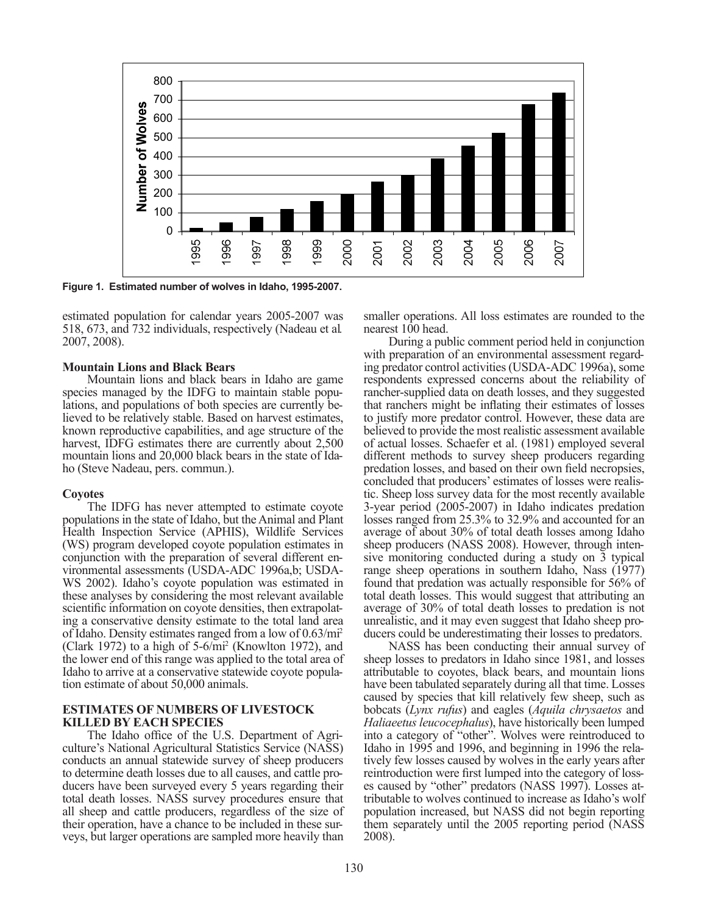

**Figure 1. Estimated number of wolves in Idaho, 1995-2007.**

estimated population for calendar years 2005-2007 was 518, 673, and 732 individuals, respectively (Nadeau et al*.*  2007, 2008).

#### **Mountain Lions and Black Bears**

Mountain lions and black bears in Idaho are game species managed by the IDFG to maintain stable populations, and populations of both species are currently believed to be relatively stable. Based on harvest estimates, known reproductive capabilities, and age structure of the harvest, IDFG estimates there are currently about 2,500 mountain lions and 20,000 black bears in the state of Idaho (Steve Nadeau, pers. commun.).

#### **Coyotes**

The IDFG has never attempted to estimate coyote populations in the state of Idaho, but the Animal and Plant Health Inspection Service (APHIS), Wildlife Services (WS) program developed coyote population estimates in conjunction with the preparation of several different environmental assessments (USDA-ADC 1996a,b; USDA-WS 2002). Idaho's coyote population was estimated in these analyses by considering the most relevant available scientific information on coyote densities, then extrapolating a conservative density estimate to the total land area of Idaho. Density estimates ranged from a low of 0.63/mi2 (Clark 1972) to a high of  $5-6$ /mi<sup>2</sup> (Knowlton 1972), and the lower end of this range was applied to the total area of Idaho to arrive at a conservative statewide coyote population estimate of about 50,000 animals.

# **ESTIMATES OF NUMBERS OF LIVESTOCK**

**KILLED BY EACH SPECIES**<br>The Idaho office of the U.S. Department of Agriculture's National Agricultural Statistics Service (NASS) conducts an annual statewide survey of sheep producers to determine death losses due to all causes, and cattle producers have been surveyed every 5 years regarding their total death losses. NASS survey procedures ensure that all sheep and cattle producers, regardless of the size of their operation, have a chance to be included in these surveys, but larger operations are sampled more heavily than

smaller operations. All loss estimates are rounded to the nearest 100 head.

During a public comment period held in conjunction with preparation of an environmental assessment regarding predator control activities (USDA-ADC 1996a), some respondents expressed concerns about the reliability of rancher-supplied data on death losses, and they suggested that ranchers might be inflating their estimates of losses to justify more predator control. However, these data are believed to provide the most realistic assessment available of actual losses. Schaefer et al. (1981) employed several different methods to survey sheep producers regarding predation losses, and based on their own field necropsies, concluded that producers' estimates of losses were realistic. Sheep loss survey data for the most recently available 3-year period (2005-2007) in Idaho indicates predation losses ranged from 25.3% to 32.9% and accounted for an average of about 30% of total death losses among Idaho sheep producers (NASS 2008). However, through intensive monitoring conducted during a study on 3 typical range sheep operations in southern Idaho, Nass (1977) found that predation was actually responsible for 56% of total death losses. This would suggest that attributing an average of 30% of total death losses to predation is not unrealistic, and it may even suggest that Idaho sheep producers could be underestimating their losses to predators.

NASS has been conducting their annual survey of sheep losses to predators in Idaho since 1981, and losses attributable to coyotes, black bears, and mountain lions have been tabulated separately during all that time. Losses caused by species that kill relatively few sheep, such as bobcats (*Lynx rufus*) and eagles (*Aquila chrysaetos* and *Haliaeetus leucocephalus*), have historically been lumped into a category of "other". Wolves were reintroduced to Idaho in 1995 and 1996, and beginning in 1996 the rela- tively few losses caused by wolves in the early years after reintroduction were first lumped into the category of losses caused by "other" predators (NASS 1997). Losses at-<br>tributable to wolves continued to increase as Idaho's wolf population increased, but NASS did not begin reporting them separately until the 2005 reporting period (NASS 2008).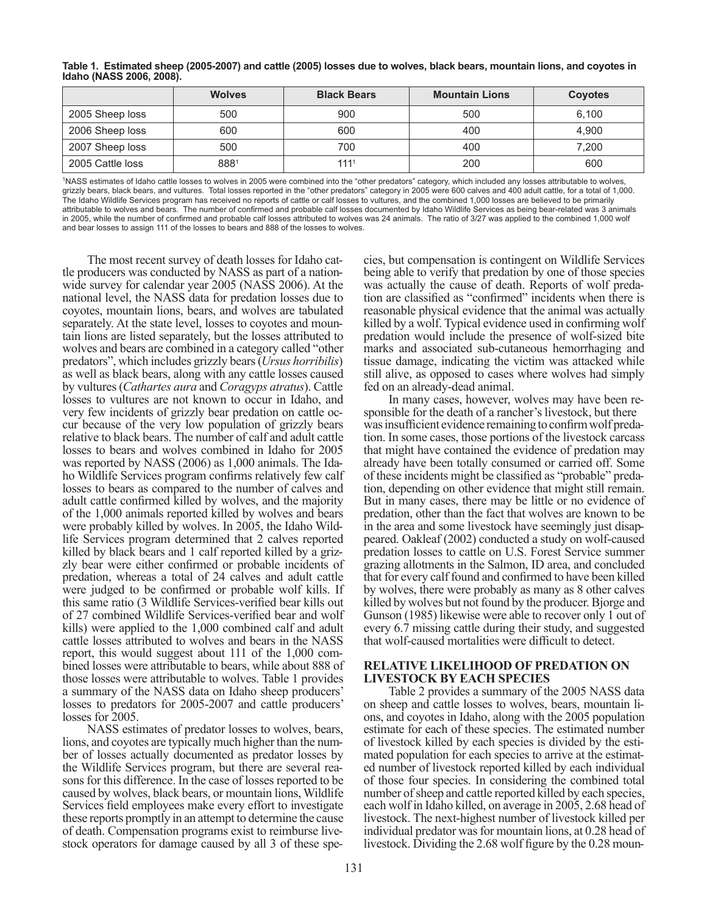|                  | <b>Wolves</b> | <b>Black Bears</b> | <b>Mountain Lions</b> | Coyotes |
|------------------|---------------|--------------------|-----------------------|---------|
| 2005 Sheep loss  | 500           | 900                | 500                   | 6,100   |
| 2006 Sheep loss  | 600           | 600                | 400                   | 4.900   |
| 2007 Sheep loss  | 500           | 700                | 400                   | 7,200   |
| 2005 Cattle loss | 8881          | 111                | 200                   | 600     |

**Table 1. Estimated sheep (2005-2007) and cattle (2005) losses due to wolves, black bears, mountain lions, and coyotes in Idaho (NASS 2006, 2008).**

1 NASS estimates of Idaho cattle losses to wolves in 2005 were combined into the "other predators" category, which included any losses attributable to wolves, grizzly bears, black bears, and vultures. Total losses reported in the "other predators" category in 2005 were 600 calves and 400 adult cattle, for a total of 1,000. The Idaho Wildlife Services program has received no reports of cattle or calf losses to vultures, and the combined 1,000 losses are believed to be primarily attributable to wolves and bears. The number of confirmed and probable calf losses documented by Idaho Wildlife Services as being bear-related was 3 animals in 2005, while the number of confirmed and probable calf losses attributed to wolves was 24 animals. The ratio of 3/27 was applied to the combined 1,000 wolf and bear losses to assign 111 of the losses to bears and 888 of the losses to wolves.

The most recent survey of death losses for Idaho cattle producers was conducted by NASS as part of a nationwide survey for calendar year 2005 (NASS 2006). At the national level, the NASS data for predation losses due to coyotes, mountain lions, bears, and wolves are tabulated separately. At the state level, losses to coyotes and mountain lions are listed separately, but the losses attributed to wolves and bears are combined in a category called "other predators", which includes grizzly bears (*Ursus horribilis*) as well as black bears, along with any cattle losses caused by vultures (*Cathartes aura* and *Coragyps atratus*). Cattle losses to vultures are not known to occur in Idaho, and very few incidents of grizzly bear predation on cattle occur because of the very low population of grizzly bears relative to black bears. The number of calf and adult cattle losses to bears and wolves combined in Idaho for 2005 was reported by NASS (2006) as 1,000 animals. The Idaho Wildlife Services program confirms relatively few calf losses to bears as compared to the number of calves and adult cattle confirmed killed by wolves, and the majority of the 1,000 animals reported killed by wolves and bears were probably killed by wolves. In 2005, the Idaho Wild-<br>life Services program determined that 2 calves reported killed by black bears and 1 calf reported killed by a griz- zly bear were either confirmed or probable incidents of predation, whereas a total of 24 calves and adult cattle were judged to be confirmed or probable wolf kills. If this same ratio (3 Wildlife Services-verified bear kills out of 27 combined Wildlife Services-verified bear and wolf kills) were applied to the 1,000 combined calf and adult cattle losses attributed to wolves and bears in the NASS report, this would suggest about 111 of the 1,000 combined losses were attributable to bears, while about 888 of those losses were attributable to wolves. Table 1 provides a summary of the NASS data on Idaho sheep producers' losses to predators for 2005-2007 and cattle producers' losses for 2005.

NASS estimates of predator losses to wolves, bears, lions, and coyotes are typically much higher than the number of losses actually documented as predator losses by the Wildlife Services program, but there are several reasons for this difference. In the case of losses reported to be caused by wolves, black bears, or mountain lions, Wildlife Services field employees make every effort to investigate these reports promptly in an attempt to determine the cause of death. Compensation programs exist to reimburse livestock operators for damage caused by all 3 of these species, but compensation is contingent on Wildlife Services being able to verify that predation by one of those species was actually the cause of death. Reports of wolf predation are classified as "confirmed" incidents when there is reasonable physical evidence that the animal was actually killed by a wolf. Typical evidence used in confirming wolf predation would include the presence of wolf-sized bite marks and associated sub-cutaneous hemorrhaging and tissue damage, indicating the victim was attacked while still alive, as opposed to cases where wolves had simply fed on an already-dead animal.

In many cases, however, wolves may have been responsible for the death of a rancher's livestock, but there was insufficient evidence remaining to confirm wolf predation. In some cases, those portions of the livestock carcass that might have contained the evidence of predation may already have been totally consumed or carried off. Some of these incidents might be classified as "probable" predation, depending on other evidence that might still remain. But in many cases, there may be little or no evidence of predation, other than the fact that wolves are known to be in the area and some livestock have seemingly just disap-<br>peared. Oakleaf (2002) conducted a study on wolf-caused predation losses to cattle on U.S. Forest Service summer grazing allotments in the Salmon, ID area, and concluded that for every calf found and confirmed to have been killed by wolves, there were probably as many as 8 other calves killed by wolves but not found by the producer. Bjorge and Gunson (1985) likewise were able to recover only 1 out of every 6.7 missing cattle during their study, and suggested that wolf-caused mortalities were difficult to detect.

#### **RELATIVE LIKELIHOOD OF PREDATION ON LIVESTOCK BY EACH SPECIES**

Table 2 provides a summary of the 2005 NASS data on sheep and cattle losses to wolves, bears, mountain lions, and coyotes in Idaho, along with the 2005 population estimate for each of these species. The estimated number of livestock killed by each species is divided by the estimated population for each species to arrive at the estimated number of livestock reported killed by each individual of those four species. In considering the combined total number of sheep and cattle reported killed by each species, each wolf in Idaho killed, on average in 2005, 2.68 head of livestock. The next-highest number of livestock killed per individual predator was for mountain lions, at 0.28 head of livestock. Dividing the 2.68 wolf figure by the 0.28 moun-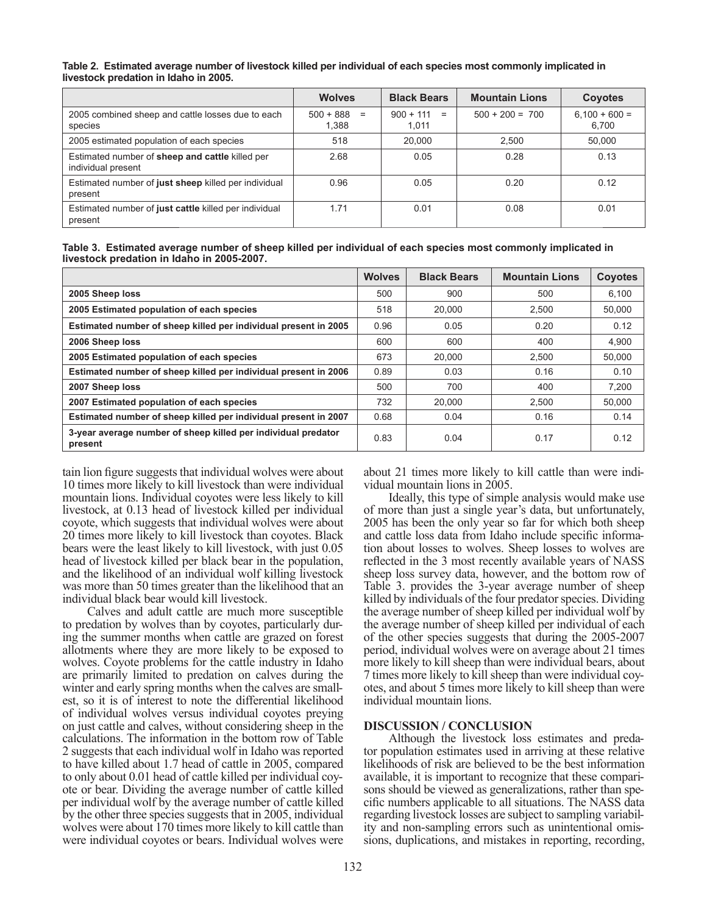|                                                                       | <b>Wolves</b>               | <b>Black Bears</b>          | <b>Mountain Lions</b> | Coyotes                  |
|-----------------------------------------------------------------------|-----------------------------|-----------------------------|-----------------------|--------------------------|
| 2005 combined sheep and cattle losses due to each<br>species          | $500 + 888$<br>$=$<br>1.388 | $900 + 111$<br>$=$<br>1.011 | $500 + 200 = 700$     | $6.100 + 600 =$<br>6,700 |
| 2005 estimated population of each species                             | 518                         | 20,000                      | 2.500                 | 50,000                   |
| Estimated number of sheep and cattle killed per<br>individual present | 2.68                        | 0.05                        | 0.28                  | 0.13                     |
| Estimated number of just sheep killed per individual<br>present       | 0.96                        | 0.05                        | 0.20                  | 0.12                     |
| Estimated number of just cattle killed per individual<br>present      | 171                         | 0.01                        | 0.08                  | 0.01                     |

**Table 2. Estimated average number of livestock killed per individual of each species most commonly implicated in livestock predation in Idaho in 2005.**

| Table 3. Estimated average number of sheep killed per individual of each species most commonly implicated in |
|--------------------------------------------------------------------------------------------------------------|
| livestock predation in Idaho in 2005-2007.                                                                   |

|                                                                          | <b>Wolves</b> | <b>Black Bears</b> | <b>Mountain Lions</b> | Coyotes |
|--------------------------------------------------------------------------|---------------|--------------------|-----------------------|---------|
| 2005 Sheep loss                                                          | 500           | 900                | 500                   | 6.100   |
| 2005 Estimated population of each species                                |               | 20,000             | 2.500                 | 50,000  |
| Estimated number of sheep killed per individual present in 2005          |               | 0.05               | 0.20                  | 0.12    |
| 2006 Sheep loss                                                          | 600           | 600                | 400                   | 4,900   |
| 2005 Estimated population of each species                                |               | 20,000             | 2.500                 | 50.000  |
| Estimated number of sheep killed per individual present in 2006          |               | 0.03               | 0.16                  | 0.10    |
| 2007 Sheep loss                                                          | 500           | 700                | 400                   | 7.200   |
| 2007 Estimated population of each species                                | 732           | 20,000             | 2,500                 | 50,000  |
| Estimated number of sheep killed per individual present in 2007          | 0.68          | 0.04               | 0.16                  | 0.14    |
| 3-year average number of sheep killed per individual predator<br>present | 0.83          | 0.04               | 0.17                  | 0.12    |

tain lion figure suggests that individual wolves were about 10 times more likely to kill livestock than were individual mountain lions. Individual coyotes were less likely to kill livestock, at 0.13 head of livestock killed per individual coyote, which suggests that individual wolves were about 20 times more likely to kill livestock than coyotes. Black bears were the least likely to kill livestock, with just 0.05 head of livestock killed per black bear in the population, and the likelihood of an individual wolf killing livestock was more than 50 times greater than the likelihood that an individual black bear would kill livestock.

Calves and adult cattle are much more susceptible to predation by wolves than by coyotes, particularly during the summer months when cattle are grazed on forest allotments where they are more likely to be exposed to wolves. Coyote problems for the cattle industry in Idaho are primarily limited to predation on calves during the winter and early spring months when the calves are smallest, so it is of interest to note the differential likelihood of individual wolves versus individual coyotes preying on just cattle and calves, without considering sheep in the calculations. The information in the bottom row of Table 2 suggests that each individual wolf in Idaho was reported to have killed about 1.7 head of cattle in 2005, compared to only about 0.01 head of cattle killed per individual coyote or bear. Dividing the average number of cattle killed per individual wolf by the average number of cattle killed by the other three species suggests that in 2005, individual wolves were about 170 times more likely to kill cattle than were individual coyotes or bears. Individual wolves were

about 21 times more likely to kill cattle than were individual mountain lions in 2005.

Ideally, this type of simple analysis would make use of more than just a single year's data, but unfortunately, 2005 has been the only year so far for which both sheep and cattle loss data from Idaho include specific informa- tion about losses to wolves. Sheep losses to wolves are reflected in the 3 most recently available years of NASS sheep loss survey data, however, and the bottom row of Table 3. provides the 3-year average number of sheep killed by individuals of the four predator species. Dividing the average number of sheep killed per individual wolf by the average number of sheep killed per individual of each of the other species suggests that during the 2005-2007 period, individual wolves were on average about 21 times more likely to kill sheep than were individual bears, about 7 times more likely to kill sheep than were individual coyotes, and about 5 times more likely to kill sheep than were individual mountain lions.

# **DISCUSSION / CONCLUSION**

Although the livestock loss estimates and preda-<br>tor population estimates used in arriving at these relative likelihoods of risk are believed to be the best information available, it is important to recognize that these comparisons should be viewed as generalizations, rather than spe- cific numbers applicable to all situations. The NASS data regarding livestock losses are subject to sampling variability and non-sampling errors such as unintentional omissions, duplications, and mistakes in reporting, recording,